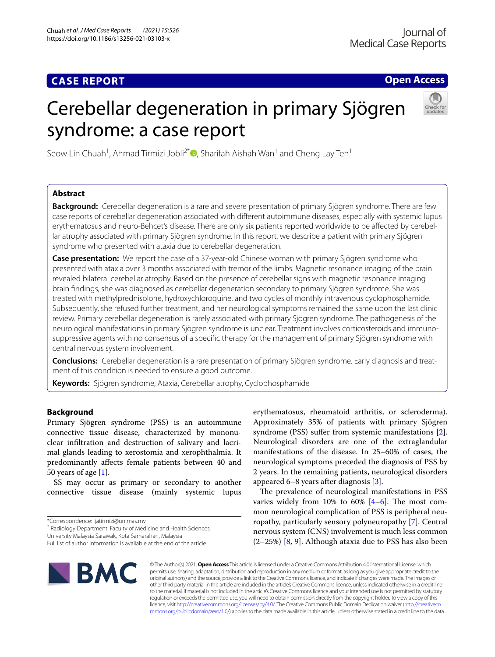## **CASE REPORT**

**Open Access**

# Cerebellar degeneration in primary Sjögren syndrome: a case report



Seow Lin Chuah<sup>1</sup>[,](http://orcid.org/0000-0002-8499-3315) Ahmad Tirmizi Jobli<sup>2\*</sup> D, Sharifah Aishah Wan<sup>1</sup> and Cheng Lay Teh<sup>1</sup>

## **Abstract**

**Background:** Cerebellar degeneration is a rare and severe presentation of primary Sjögren syndrome. There are few case reports of cerebellar degeneration associated with diferent autoimmune diseases, especially with systemic lupus erythematosus and neuro-Behcet's disease. There are only six patients reported worldwide to be afected by cerebellar atrophy associated with primary Sjögren syndrome. In this report, we describe a patient with primary Sjögren syndrome who presented with ataxia due to cerebellar degeneration.

**Case presentation:** We report the case of a 37-year-old Chinese woman with primary Sjögren syndrome who presented with ataxia over 3 months associated with tremor of the limbs. Magnetic resonance imaging of the brain revealed bilateral cerebellar atrophy. Based on the presence of cerebellar signs with magnetic resonance imaging brain fndings, she was diagnosed as cerebellar degeneration secondary to primary Sjögren syndrome. She was treated with methylprednisolone, hydroxychloroquine, and two cycles of monthly intravenous cyclophosphamide. Subsequently, she refused further treatment, and her neurological symptoms remained the same upon the last clinic review. Primary cerebellar degeneration is rarely associated with primary Sjögren syndrome. The pathogenesis of the neurological manifestations in primary Sjögren syndrome is unclear. Treatment involves corticosteroids and immunosuppressive agents with no consensus of a specifc therapy for the management of primary Sjögren syndrome with central nervous system involvement.

**Conclusions:** Cerebellar degeneration is a rare presentation of primary Sjögren syndrome. Early diagnosis and treatment of this condition is needed to ensure a good outcome.

**Keywords:** Sjögren syndrome, Ataxia, Cerebellar atrophy, Cyclophosphamide

## **Background**

Primary Sjögren syndrome (PSS) is an autoimmune connective tissue disease, characterized by mononuclear infltration and destruction of salivary and lacrimal glands leading to xerostomia and xerophthalmia. It predominantly afects female patients between 40 and 50 years of age [[1\]](#page-4-0).

SS may occur as primary or secondary to another connective tissue disease (mainly systemic lupus

<sup>2</sup> Radiology Department, Faculty of Medicine and Health Sciences,

University Malaysia Sarawak, Kota Samarahan, Malaysia

erythematosus, rheumatoid arthritis, or scleroderma). Approximately 35% of patients with primary Sjögren syndrome (PSS) suffer from systemic manifestations [\[2](#page-4-1)]. Neurological disorders are one of the extraglandular manifestations of the disease. In 25–60% of cases, the neurological symptoms preceded the diagnosis of PSS by 2 years. In the remaining patients, neurological disorders appeared 6–8 years after diagnosis [[3\]](#page-4-2).

The prevalence of neurological manifestations in PSS varies widely from  $10\%$  to  $60\%$   $[4-6]$  $[4-6]$ . The most common neurological complication of PSS is peripheral neuropathy, particularly sensory polyneuropathy [[7\]](#page-4-5). Central nervous system (CNS) involvement is much less common (2–25%) [[8,](#page-4-6) [9](#page-4-7)]. Although ataxia due to PSS has also been



© The Author(s) 2021. **Open Access** This article is licensed under a Creative Commons Attribution 4.0 International License, which permits use, sharing, adaptation, distribution and reproduction in any medium or format, as long as you give appropriate credit to the original author(s) and the source, provide a link to the Creative Commons licence, and indicate if changes were made. The images or other third party material in this article are included in the article's Creative Commons licence, unless indicated otherwise in a credit line to the material. If material is not included in the article's Creative Commons licence and your intended use is not permitted by statutory regulation or exceeds the permitted use, you will need to obtain permission directly from the copyright holder. To view a copy of this licence, visit [http://creativecommons.org/licenses/by/4.0/.](http://creativecommons.org/licenses/by/4.0/) The Creative Commons Public Domain Dedication waiver ([http://creativeco](http://creativecommons.org/publicdomain/zero/1.0/) [mmons.org/publicdomain/zero/1.0/](http://creativecommons.org/publicdomain/zero/1.0/)) applies to the data made available in this article, unless otherwise stated in a credit line to the data.

<sup>\*</sup>Correspondence: jatirmizi@unimas.my

Full list of author information is available at the end of the article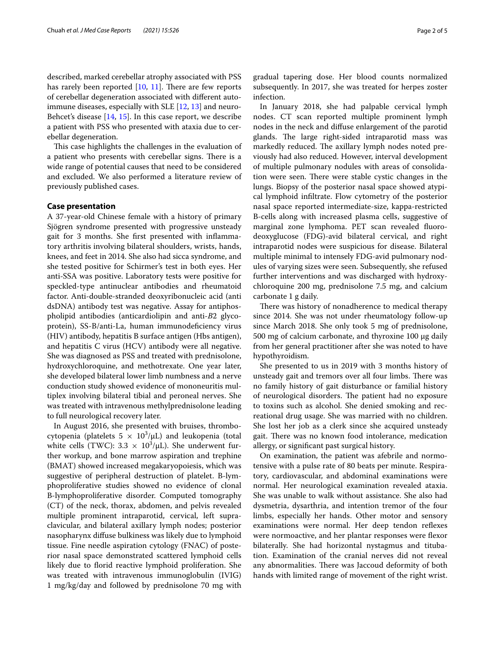described, marked cerebellar atrophy associated with PSS has rarely been reported  $[10, 11]$  $[10, 11]$  $[10, 11]$  $[10, 11]$  $[10, 11]$ . There are few reports of cerebellar degeneration associated with diferent autoimmune diseases, especially with SLE [\[12](#page-4-10), [13\]](#page-4-11) and neuro-Behcet's disease [\[14,](#page-4-12) [15\]](#page-4-13). In this case report, we describe a patient with PSS who presented with ataxia due to cerebellar degeneration.

This case highlights the challenges in the evaluation of a patient who presents with cerebellar signs. There is a wide range of potential causes that need to be considered and excluded. We also performed a literature review of previously published cases.

#### **Case presentation**

A 37-year-old Chinese female with a history of primary Sjögren syndrome presented with progressive unsteady gait for 3 months. She frst presented with infammatory arthritis involving bilateral shoulders, wrists, hands, knees, and feet in 2014. She also had sicca syndrome, and she tested positive for Schirmer's test in both eyes. Her anti-SSA was positive. Laboratory tests were positive for speckled-type antinuclear antibodies and rheumatoid factor. Anti-double-stranded deoxyribonucleic acid (anti dsDNA) antibody test was negative. Assay for antiphospholipid antibodies (anticardiolipin and anti-*B*2 glycoprotein), SS-B/anti-La, human immunodeficiency virus (HIV) antibody, hepatitis B surface antigen (Hbs antigen), and hepatitis C virus (HCV) antibody were all negative. She was diagnosed as PSS and treated with prednisolone, hydroxychloroquine, and methotrexate. One year later, she developed bilateral lower limb numbness and a nerve conduction study showed evidence of mononeuritis multiplex involving bilateral tibial and peroneal nerves. She was treated with intravenous methylprednisolone leading to full neurological recovery later.

In August 2016, she presented with bruises, thrombocytopenia (platelets  $5 \times 10^3/\mu$ L) and leukopenia (total white cells (TWC):  $3.3 \times 10^3/\mu$ L). She underwent further workup, and bone marrow aspiration and trephine (BMAT) showed increased megakaryopoiesis, which was suggestive of peripheral destruction of platelet. B-lymphoproliferative studies showed no evidence of clonal B-lymphoproliferative disorder. Computed tomography (CT) of the neck, thorax, abdomen, and pelvis revealed multiple prominent intraparotid, cervical, left supraclavicular, and bilateral axillary lymph nodes; posterior nasopharynx difuse bulkiness was likely due to lymphoid tissue. Fine needle aspiration cytology (FNAC) of posterior nasal space demonstrated scattered lymphoid cells likely due to forid reactive lymphoid proliferation. She was treated with intravenous immunoglobulin (IVIG) 1 mg/kg/day and followed by prednisolone 70 mg with

gradual tapering dose. Her blood counts normalized subsequently. In 2017, she was treated for herpes zoster infection.

In January 2018, she had palpable cervical lymph nodes. CT scan reported multiple prominent lymph nodes in the neck and difuse enlargement of the parotid glands. The large right-sided intraparotid mass was markedly reduced. The axillary lymph nodes noted previously had also reduced. However, interval development of multiple pulmonary nodules with areas of consolidation were seen. There were stable cystic changes in the lungs. Biopsy of the posterior nasal space showed atypical lymphoid infltrate. Flow cytometry of the posterior nasal space reported intermediate-size, kappa-restricted B-cells along with increased plasma cells, suggestive of marginal zone lymphoma. PET scan revealed fuorodeoxyglucose (FDG)-avid bilateral cervical, and right intraparotid nodes were suspicious for disease. Bilateral multiple minimal to intensely FDG-avid pulmonary nodules of varying sizes were seen. Subsequently, she refused further interventions and was discharged with hydroxychloroquine 200 mg, prednisolone 7.5 mg, and calcium carbonate 1 g daily.

There was history of nonadherence to medical therapy since 2014. She was not under rheumatology follow-up since March 2018. She only took 5 mg of prednisolone, 500 mg of calcium carbonate, and thyroxine 100 μg daily from her general practitioner after she was noted to have hypothyroidism.

She presented to us in 2019 with 3 months history of unsteady gait and tremors over all four limbs. There was no family history of gait disturbance or familial history of neurological disorders. The patient had no exposure to toxins such as alcohol. She denied smoking and recreational drug usage. She was married with no children. She lost her job as a clerk since she acquired unsteady gait. There was no known food intolerance, medication allergy, or signifcant past surgical history.

On examination, the patient was afebrile and normotensive with a pulse rate of 80 beats per minute. Respiratory, cardiovascular, and abdominal examinations were normal. Her neurological examination revealed ataxia. She was unable to walk without assistance. She also had dysmetria, dysarthria, and intention tremor of the four limbs, especially her hands. Other motor and sensory examinations were normal. Her deep tendon reflexes were normoactive, and her plantar responses were flexor bilaterally. She had horizontal nystagmus and titubation. Examination of the cranial nerves did not reveal any abnormalities. There was Jaccoud deformity of both hands with limited range of movement of the right wrist.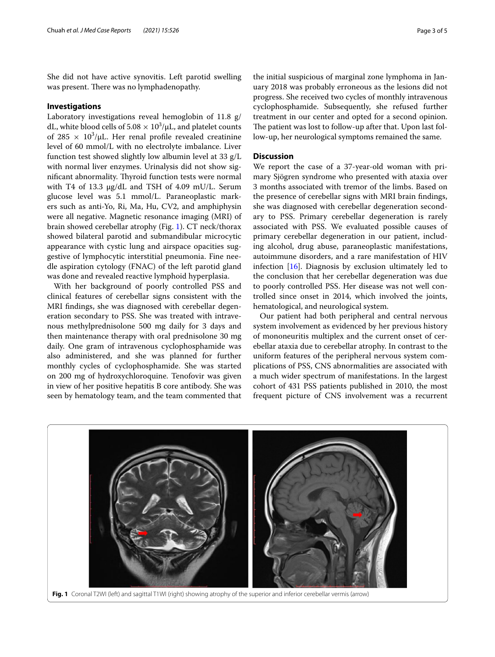She did not have active synovitis. Left parotid swelling was present. There was no lymphadenopathy.

#### **Investigations**

Laboratory investigations reveal hemoglobin of 11.8 g/ dL, white blood cells of  $5.08 \times 10^3/\mu$ L, and platelet counts of  $285 \times 10^3/\mu L$ . Her renal profile revealed creatinine level of 60 mmol/L with no electrolyte imbalance. Liver function test showed slightly low albumin level at 33 g/L with normal liver enzymes. Urinalysis did not show significant abnormality. Thyroid function tests were normal with T4 of 13.3 μg/dL and TSH of 4.09 mU/L. Serum glucose level was 5.1 mmol/L. Paraneoplastic markers such as anti-Yo, Ri, Ma, Hu, CV2, and amphiphysin were all negative. Magnetic resonance imaging (MRI) of brain showed cerebellar atrophy (Fig. [1\)](#page-2-0). CT neck/thorax showed bilateral parotid and submandibular microcytic appearance with cystic lung and airspace opacities suggestive of lymphocytic interstitial pneumonia. Fine needle aspiration cytology (FNAC) of the left parotid gland was done and revealed reactive lymphoid hyperplasia.

With her background of poorly controlled PSS and clinical features of cerebellar signs consistent with the MRI fndings, she was diagnosed with cerebellar degeneration secondary to PSS. She was treated with intravenous methylprednisolone 500 mg daily for 3 days and then maintenance therapy with oral prednisolone 30 mg daily. One gram of intravenous cyclophosphamide was also administered, and she was planned for further monthly cycles of cyclophosphamide. She was started on 200 mg of hydroxychloroquine. Tenofovir was given in view of her positive hepatitis B core antibody. She was seen by hematology team, and the team commented that

the initial suspicious of marginal zone lymphoma in January 2018 was probably erroneous as the lesions did not progress. She received two cycles of monthly intravenous cyclophosphamide. Subsequently, she refused further treatment in our center and opted for a second opinion. The patient was lost to follow-up after that. Upon last follow-up, her neurological symptoms remained the same.

## **Discussion**

We report the case of a 37-year-old woman with primary Sjögren syndrome who presented with ataxia over 3 months associated with tremor of the limbs. Based on the presence of cerebellar signs with MRI brain fndings, she was diagnosed with cerebellar degeneration secondary to PSS. Primary cerebellar degeneration is rarely associated with PSS. We evaluated possible causes of primary cerebellar degeneration in our patient, including alcohol, drug abuse, paraneoplastic manifestations, autoimmune disorders, and a rare manifestation of HIV infection [[16](#page-4-14)]. Diagnosis by exclusion ultimately led to the conclusion that her cerebellar degeneration was due to poorly controlled PSS. Her disease was not well controlled since onset in 2014, which involved the joints, hematological, and neurological system.

Our patient had both peripheral and central nervous system involvement as evidenced by her previous history of mononeuritis multiplex and the current onset of cerebellar ataxia due to cerebellar atrophy. In contrast to the uniform features of the peripheral nervous system complications of PSS, CNS abnormalities are associated with a much wider spectrum of manifestations. In the largest cohort of 431 PSS patients published in 2010, the most frequent picture of CNS involvement was a recurrent

<span id="page-2-0"></span>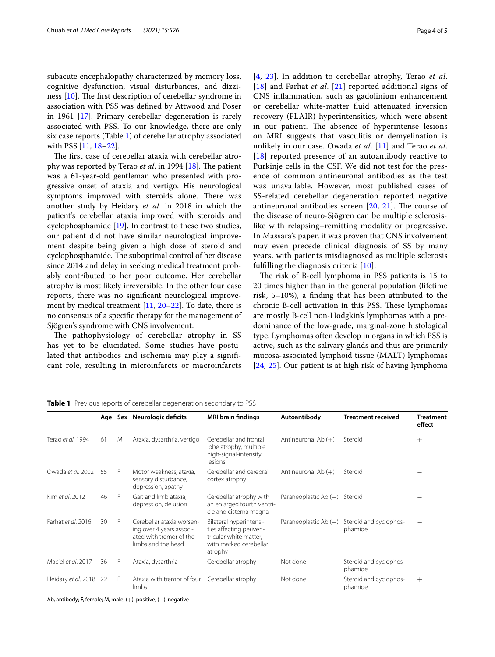subacute encephalopathy characterized by memory loss, cognitive dysfunction, visual disturbances, and dizziness  $[10]$  $[10]$ . The first description of cerebellar syndrome in association with PSS was defned by Attwood and Poser in 1961 [[17](#page-4-15)]. Primary cerebellar degeneration is rarely associated with PSS. To our knowledge, there are only six case reports (Table [1\)](#page-3-0) of cerebellar atrophy associated with PSS [\[11](#page-4-9), [18–](#page-4-16)[22](#page-4-17)].

The first case of cerebellar ataxia with cerebellar atrophy was reported by Terao *et al.* in 1994 [\[18](#page-4-16)]. The patient was a 61-year-old gentleman who presented with progressive onset of ataxia and vertigo. His neurological symptoms improved with steroids alone. There was another study by Heidary *et al*. in 2018 in which the patient's cerebellar ataxia improved with steroids and cyclophosphamide [\[19](#page-4-18)]. In contrast to these two studies, our patient did not have similar neurological improvement despite being given a high dose of steroid and cyclophosphamide. The suboptimal control of her disease since 2014 and delay in seeking medical treatment probably contributed to her poor outcome. Her cerebellar atrophy is most likely irreversible. In the other four case reports, there was no signifcant neurological improve-ment by medical treatment [\[11,](#page-4-9) [20–](#page-4-19)[22\]](#page-4-17). To date, there is no consensus of a specifc therapy for the management of Sjögren's syndrome with CNS involvement.

The pathophysiology of cerebellar atrophy in SS has yet to be elucidated. Some studies have postulated that antibodies and ischemia may play a signifcant role, resulting in microinfarcts or macroinfarcts [[4](#page-4-3), [23\]](#page-4-20). In addition to cerebellar atrophy, Terao *et al*. [[18](#page-4-16)] and Farhat *et al*. [[21\]](#page-4-21) reported additional signs of CNS infammation, such as gadolinium enhancement or cerebellar white-matter fuid attenuated inversion recovery (FLAIR) hyperintensities, which were absent in our patient. The absence of hyperintense lesions on MRI suggests that vasculitis or demyelination is unlikely in our case. Owada *et al*. [[11\]](#page-4-9) and Terao *et al*. [[18](#page-4-16)] reported presence of an autoantibody reactive to Purkinje cells in the CSF. We did not test for the presence of common antineuronal antibodies as the test was unavailable. However, most published cases of SS-related cerebellar degeneration reported negative antineuronal antibodies screen  $[20, 21]$  $[20, 21]$  $[20, 21]$  $[20, 21]$ . The course of the disease of neuro-Sjögren can be multiple sclerosislike with relapsing–remitting modality or progressive. In Massara's paper, it was proven that CNS involvement may even precede clinical diagnosis of SS by many years, with patients misdiagnosed as multiple sclerosis fulflling the diagnosis criteria [[10\]](#page-4-8).

The risk of B-cell lymphoma in PSS patients is 15 to 20 times higher than in the general population (lifetime risk, 5–10%), a fnding that has been attributed to the chronic B-cell activation in this PSS. These lymphomas are mostly B-cell non-Hodgkin's lymphomas with a predominance of the low-grade, marginal-zone histological type. Lymphomas often develop in organs in which PSS is active, such as the salivary glands and thus are primarily mucosa-associated lymphoid tissue (MALT) lymphomas [[24,](#page-4-22) [25\]](#page-4-23). Our patient is at high risk of having lymphoma

|                        |    |   | Age Sex Neurologic deficits                                                                            | <b>MRI</b> brain findings                                                                                         | Autoantibody            | <b>Treatment received</b>         | <b>Treatment</b><br>effect |
|------------------------|----|---|--------------------------------------------------------------------------------------------------------|-------------------------------------------------------------------------------------------------------------------|-------------------------|-----------------------------------|----------------------------|
| Terao et al. 1994      | 61 | M | Ataxia, dysarthria, vertigo                                                                            | Cerebellar and frontal<br>lobe atrophy, multiple<br>high-signal-intensity<br>lesions                              | Antineuronal Ab $(+)$   | Steroid                           | $^{+}$                     |
| Owada et al. 2002      | 55 | F | Motor weakness, ataxia,<br>sensory disturbance,<br>depression, apathy                                  | Cerebellar and cerebral<br>cortex atrophy                                                                         | Antineuronal Ab $(+)$   | Steroid                           |                            |
| Kim et al. 2012        | 46 | F | Gait and limb ataxia,<br>depression, delusion                                                          | Cerebellar atrophy with<br>an enlarged fourth ventri-<br>cle and cisterna magna                                   | Paraneoplastic Ab $(-)$ | Steroid                           |                            |
| Farhat et al. 2016     | 30 | F | Cerebellar ataxia worsen-<br>ing over 4 years associ-<br>ated with tremor of the<br>limbs and the head | Bilateral hyperintensi-<br>ties affecting periven-<br>tricular white matter.<br>with marked cerebellar<br>atrophy | Paraneoplastic Ab $(-)$ | Steroid and cyclophos-<br>phamide |                            |
| Maciel et al. 2017     | 36 | F | Ataxia, dysarthria                                                                                     | Cerebellar atrophy                                                                                                | Not done                | Steroid and cyclophos-<br>phamide |                            |
| Heidary et al. 2018 22 |    | F | Ataxia with tremor of four<br>limbs                                                                    | Cerebellar atrophy                                                                                                | Not done                | Steroid and cyclophos-<br>phamide | $+$                        |

#### <span id="page-3-0"></span>**Table 1** Previous reports of cerebellar degeneration secondary to PSS

Ab, antibody; F, female; M, male; (+), positive; (−), negative